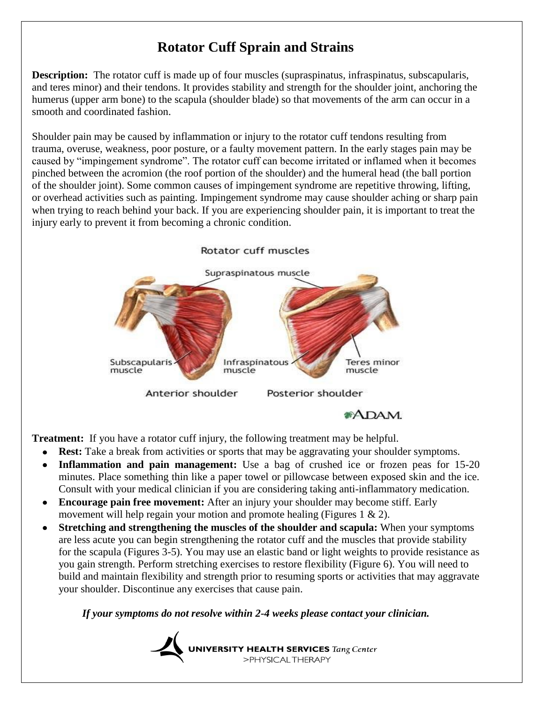## **Rotator Cuff Sprain and Strains**

**Description:** The rotator cuff is made up of four muscles (supraspinatus, infraspinatus, subscapularis, and teres minor) and their tendons. It provides stability and strength for the shoulder joint, anchoring the humerus (upper arm bone) to the scapula (shoulder blade) so that movements of the arm can occur in a smooth and coordinated fashion.

Shoulder pain may be caused by inflammation or injury to the rotator cuff tendons resulting from trauma, overuse, weakness, poor posture, or a faulty movement pattern. In the early stages pain may be caused by "impingement syndrome". The rotator cuff can become irritated or inflamed when it becomes pinched between the acromion (the roof portion of the shoulder) and the humeral head (the ball portion of the shoulder joint). Some common causes of impingement syndrome are repetitive throwing, lifting, or overhead activities such as painting. Impingement syndrome may cause shoulder aching or sharp pain when trying to reach behind your back. If you are experiencing shoulder pain, it is important to treat the injury early to prevent it from becoming a chronic condition.



**Treatment:** If you have a rotator cuff injury, the following treatment may be helpful.

- **Rest:** Take a break from activities or sports that may be aggravating your shoulder symptoms.
- **Inflammation and pain management:** Use a bag of crushed ice or frozen peas for 15-20  $\bullet$ minutes. Place something thin like a paper towel or pillowcase between exposed skin and the ice. Consult with your medical clinician if you are considering taking anti-inflammatory medication.
- **Encourage pain free movement:** After an injury your shoulder may become stiff. Early movement will help regain your motion and promote healing (Figures 1 & 2).
- **Stretching and strengthening the muscles of the shoulder and scapula:** When your symptoms are less acute you can begin strengthening the rotator cuff and the muscles that provide stability for the scapula (Figures 3-5). You may use an elastic band or light weights to provide resistance as you gain strength. Perform stretching exercises to restore flexibility (Figure 6). You will need to build and maintain flexibility and strength prior to resuming sports or activities that may aggravate your shoulder. Discontinue any exercises that cause pain.

*If your symptoms do not resolve within 2-4 weeks please contact your clinician.*

UNIVERSITY HEALTH SERVICES Tang Center